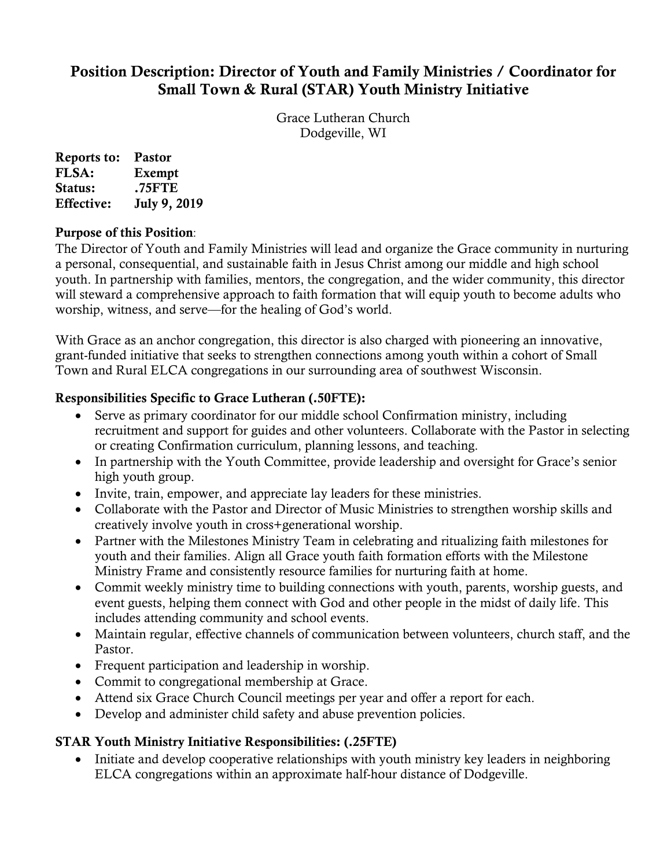# Position Description: Director of Youth and Family Ministries / Coordinator for Small Town & Rural (STAR) Youth Ministry Initiative

Grace Lutheran Church Dodgeville, WI

Reports to: Pastor FLSA: Exempt<br>Status: .75FTE .75FTE Effective: July 9, 2019

#### Purpose of this Position:

The Director of Youth and Family Ministries will lead and organize the Grace community in nurturing a personal, consequential, and sustainable faith in Jesus Christ among our middle and high school youth. In partnership with families, mentors, the congregation, and the wider community, this director will steward a comprehensive approach to faith formation that will equip youth to become adults who worship, witness, and serve—for the healing of God's world.

With Grace as an anchor congregation, this director is also charged with pioneering an innovative, grant-funded initiative that seeks to strengthen connections among youth within a cohort of Small Town and Rural ELCA congregations in our surrounding area of southwest Wisconsin.

### Responsibilities Specific to Grace Lutheran (.50FTE):

- Serve as primary coordinator for our middle school Confirmation ministry, including recruitment and support for guides and other volunteers. Collaborate with the Pastor in selecting or creating Confirmation curriculum, planning lessons, and teaching.
- In partnership with the Youth Committee, provide leadership and oversight for Grace's senior high youth group.
- Invite, train, empower, and appreciate lay leaders for these ministries.
- Collaborate with the Pastor and Director of Music Ministries to strengthen worship skills and creatively involve youth in cross+generational worship.
- Partner with the Milestones Ministry Team in celebrating and ritualizing faith milestones for youth and their families. Align all Grace youth faith formation efforts with the Milestone Ministry Frame and consistently resource families for nurturing faith at home.
- Commit weekly ministry time to building connections with youth, parents, worship guests, and event guests, helping them connect with God and other people in the midst of daily life. This includes attending community and school events.
- Maintain regular, effective channels of communication between volunteers, church staff, and the Pastor.
- Frequent participation and leadership in worship.
- Commit to congregational membership at Grace.
- Attend six Grace Church Council meetings per year and offer a report for each.
- Develop and administer child safety and abuse prevention policies.

# STAR Youth Ministry Initiative Responsibilities: (.25FTE)

• Initiate and develop cooperative relationships with youth ministry key leaders in neighboring ELCA congregations within an approximate half-hour distance of Dodgeville.